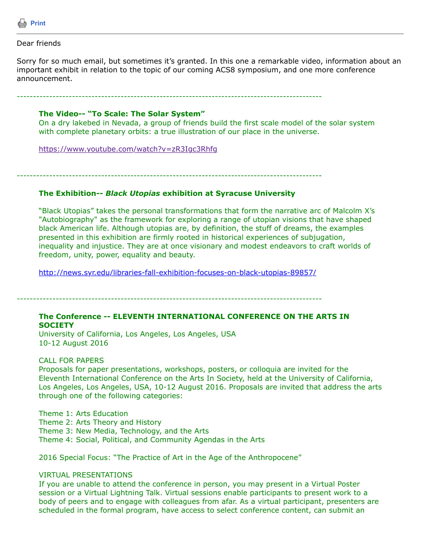

Dear friends

Sorry for so much email, but sometimes it's granted. In this one a remarkable video, information about an important exhibit in relation to the topic of our coming ACS8 symposium, and one more conference announcement.

----------------------------------------------------------------------------------------------

## **The Video-- "To Scale: The Solar System"**

On a dry lakebed in Nevada, a group of friends build the first scale model of the solar system with complete planetary orbits: a true illustration of our place in the universe.

<https://www.youtube.com/watch?v=zR3Igc3Rhfg>

----------------------------------------------------------------------------------------------

## **The Exhibition--** *Black Utopias* **exhibition at Syracuse University**

"Black Utopias" takes the personal transformations that form the narrative arc of Malcolm X's "Autobiography" as the framework for exploring a range of utopian visions that have shaped black American life. Although utopias are, by definition, the stuff of dreams, the examples presented in this exhibition are firmly rooted in historical experiences of subjugation, inequality and injustice. They are at once visionary and modest endeavors to craft worlds of freedom, unity, power, equality and beauty.

<http://news.syr.edu/libraries-fall-exhibition-focuses-on-black-utopias-89857/>

----------------------------------------------------------------------------------------------

## **The Conference -- ELEVENTH INTERNATIONAL CONFERENCE ON THE ARTS IN SOCIETY**

University of California, Los Angeles, Los Angeles, USA 10-12 August 2016

# CALL FOR PAPERS

Proposals for paper presentations, workshops, posters, or colloquia are invited for the Eleventh International Conference on the Arts In Society, held at the University of California, Los Angeles, Los Angeles, USA, 10-12 August 2016. Proposals are invited that address the arts through one of the following categories:

Theme 1: Arts Education Theme 2: Arts Theory and History Theme 3: New Media, Technology, and the Arts Theme 4: Social, Political, and Community Agendas in the Arts

2016 Special Focus: "The Practice of Art in the Age of the Anthropocene"

## VIRTUAL PRESENTATIONS

If you are unable to attend the conference in person, you may present in a Virtual Poster session or a Virtual Lightning Talk. Virtual sessions enable participants to present work to a body of peers and to engage with colleagues from afar. As a virtual participant, presenters are scheduled in the formal program, have access to select conference content, can submit an